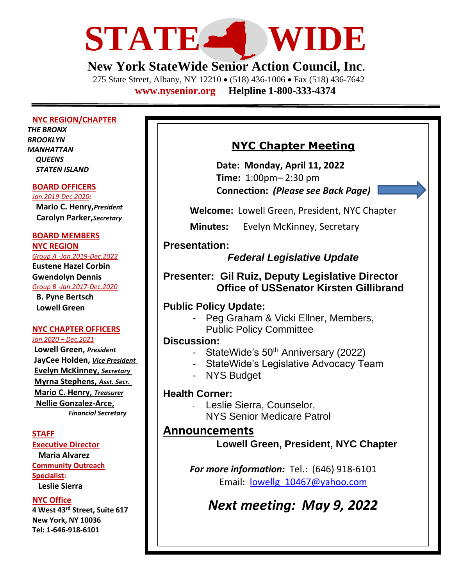

# **New York StateWide Senior Action Council, Inc**.

275 State Street, Albany, NY 12210 • (518) 436-1006 • Fax (518) 436-7642 **[www.nysenior.org](http://www.nysenior.org/) Helpline 1-800-333-4374**

#### **NYC REGION/CHAPTER**

*THE BRONX BROOKLYN MANHATTAN QUEENS STATEN ISLAND*

#### **BOARD OFFICERS**

*Jan.2019-Dec.2020:* **Mario C. Henry,***President*  **Carolyn Parker,***Secretary*

#### **BOARD MEMBERS**

**NYC REGION**

*Group A -Jan.2019-Dec.2022* **Eustene Hazel Corbin Gwendolyn Dennis**  *Group B -Jan.2017-Dec.2020* **B. Pyne Bertsch Lowell Green**

### **NYC CHAPTER OFFICERS**

*Jan.2020 – Dec.2021* **Lowell Green,** *President* **JayCee Holden,** *Vice President*  **Evelyn McKinney,** *Secretary*  **Myrna Stephens,** *Asst. Secr.* **Mario C. Henry,** *Treasurer* **Nellie Gonzalez-Arce,** *Financial Secretary*

#### **STAFF**

**Executive Director Maria Alvarez Community Outreach Specialist: Leslie Sierra**

#### **NYC Office**

**4 West 43rd Street, Suite 617 New York, NY 10036 Tel: 1-646-918-6101**

## **NYC Chapter Meeting**

**Date: Monday, April 11, 2022 Time:** 1:00pm– 2:30 pm **Connection:** *(Please see Back Page)*

**Welcome:** Lowell Green, President, NYC Chapter

**Minutes:** Evelyn McKinney, Secretary

### **Presentation:**

## *Federal Legislative Update*

**Presenter: Gil Ruiz, Deputy Legislative Director Office of USSenator Kirsten Gillibrand**

### **Public Policy Update:**

- Peg Graham & Vicki Ellner, Members,
	- Public Policy Committee

### **Discussion:**

- StateWide's 50<sup>th</sup> Anniversary (2022)
- StateWide's Legislative Advocacy Team
- NYS Budget

#### **Health Corner:**

Leslie Sierra, Counselor, NYS Senior Medicare Patrol

## **Announcements**

**Lowell Green, President, NYC Chapter**

*For more information:* Tel.: (646) 918-6101 Email: [lowellg\\_10467@yahoo.com](mailto:lowellg_10467@yahoo.com)

*Next meeting: May 9, 2022*